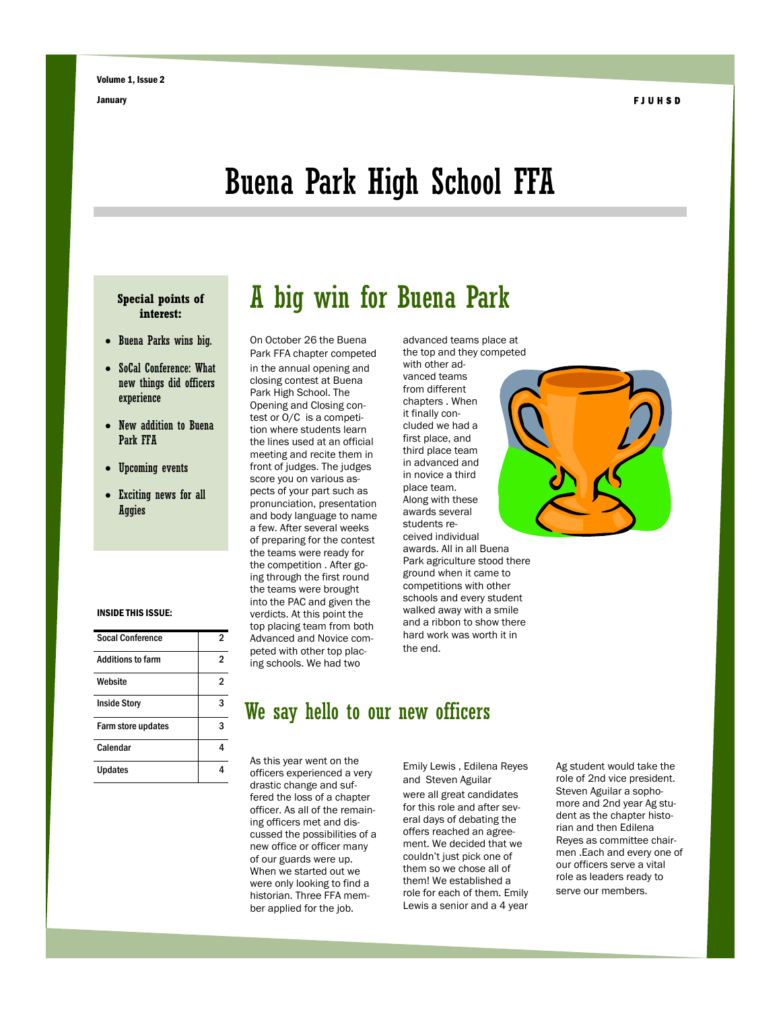## Buena Park High School FFA

#### **Special points of interest:**

- Buena Parks wins big.
- SoCal Conference: What new things did officers experience
- New addition to Buena Park FFA
- Upcoming events
- Exciting news for all Aggies

#### INSIDE THIS ISSUE:

| <b>Socal Conference</b>  | 2 |
|--------------------------|---|
| <b>Additions to farm</b> | 2 |
| Website                  | 2 |
| <b>Inside Story</b>      | 3 |
| Farm store updates       | 3 |
| Calendar                 | Δ |
| Updates                  |   |

### A big win for Buena Park

On October 26 the Buena Park FFA chapter competed in the annual opening and

closing contest at Buena Park High School. The Opening and Closing contest or O/C is a competition where students learn the lines used at an official meeting and recite them in front of judges. The judges score you on various aspects of your part such as pronunciation, presentation and body language to name a few. After several weeks of preparing for the contest the teams were ready for the competition . After going through the first round the teams were brought into the PAC and given the verdicts. At this point the top placing team from both Advanced and Novice competed with other top placing schools. We had two

advanced teams place at the top and they competed with other advanced teams from different chapters . When it finally concluded we had a first place, and third place team in advanced and in novice a third place team. Along with these awards several students received individual awards. All in all Buena Park agriculture stood there ground when it came to competitions with other schools and every student walked away with a smile and a ribbon to show there hard work was worth it in the end.



#### We say hello to our new officers

As this year went on the officers experienced a very drastic change and suffered the loss of a chapter officer. As all of the remaining officers met and discussed the possibilities of a new office or officer many of our guards were up. When we started out we were only looking to find a historian. Three FFA member applied for the job.

Emily Lewis , Edilena Reyes and Steven Aguilar were all great candidates for this role and after several days of debating the offers reached an agreement. We decided that we couldn't just pick one of them so we chose all of them! We established a role for each of them. Emily Lewis a senior and a 4 year Ag student would take the role of 2nd vice president. Steven Aguilar a sophomore and 2nd year Ag student as the chapter historian and then Edilena Reyes as committee chairmen .Each and every one of our officers serve a vital role as leaders ready to serve our members.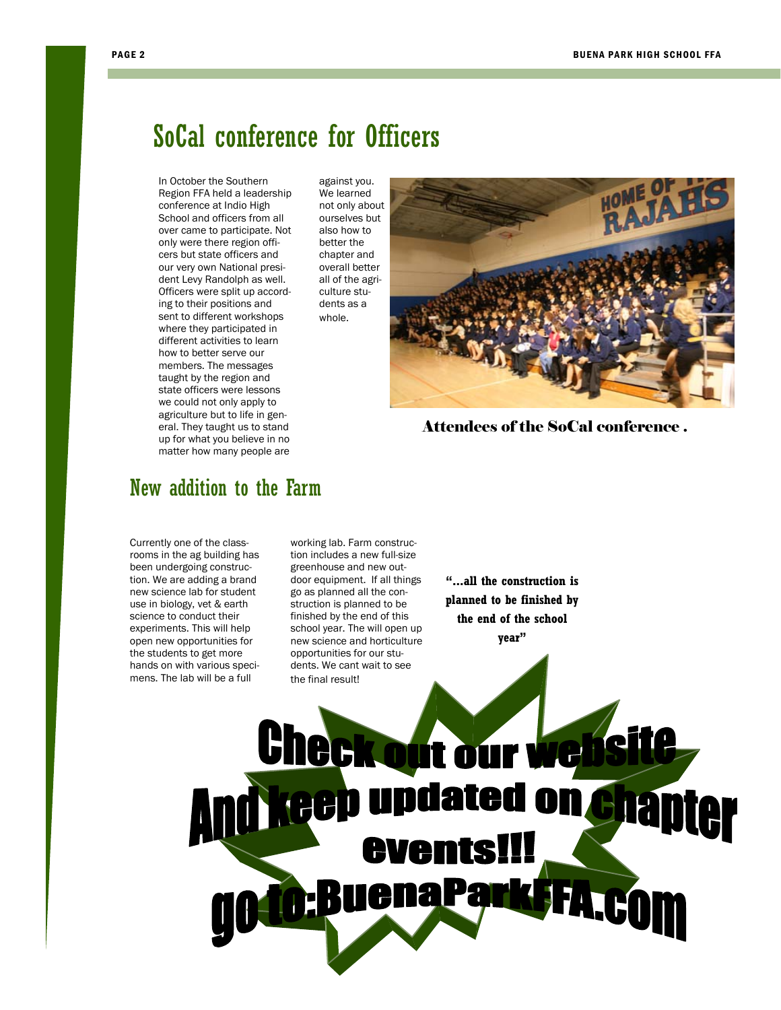### SoCal conference for Officers

against you. We learned not only about ourselves but also how to better the chapter and overall better

In October the Southern Region FFA held a leadership conference at Indio High School and officers from all over came to participate. Not only were there region officers but state officers and our very own National president Levy Randolph as well. Officers were split up according to their positions and sent to different workshops where they participated in different activities to learn how to better serve our members. The messages taught by the region and state officers were lessons we could not only apply to agriculture but to life in general. They taught us to stand up for what you believe in no matter how many people are

New addition to the Farm

Currently one of the classrooms in the ag building has been undergoing construction. We are adding a brand new science lab for student use in biology, vet & earth science to conduct their experiments. This will help open new opportunities for the students to get more hands on with various specimens. The lab will be a full

working lab. Farm construction includes a new full-size greenhouse and new outdoor equipment. If all things go as planned all the construction is planned to be finished by the end of this school year. The will open up new science and horticulture opportunities for our students. We cant wait to see the final result!

**"...all the construction is planned to be finished by the end of the school year"** 



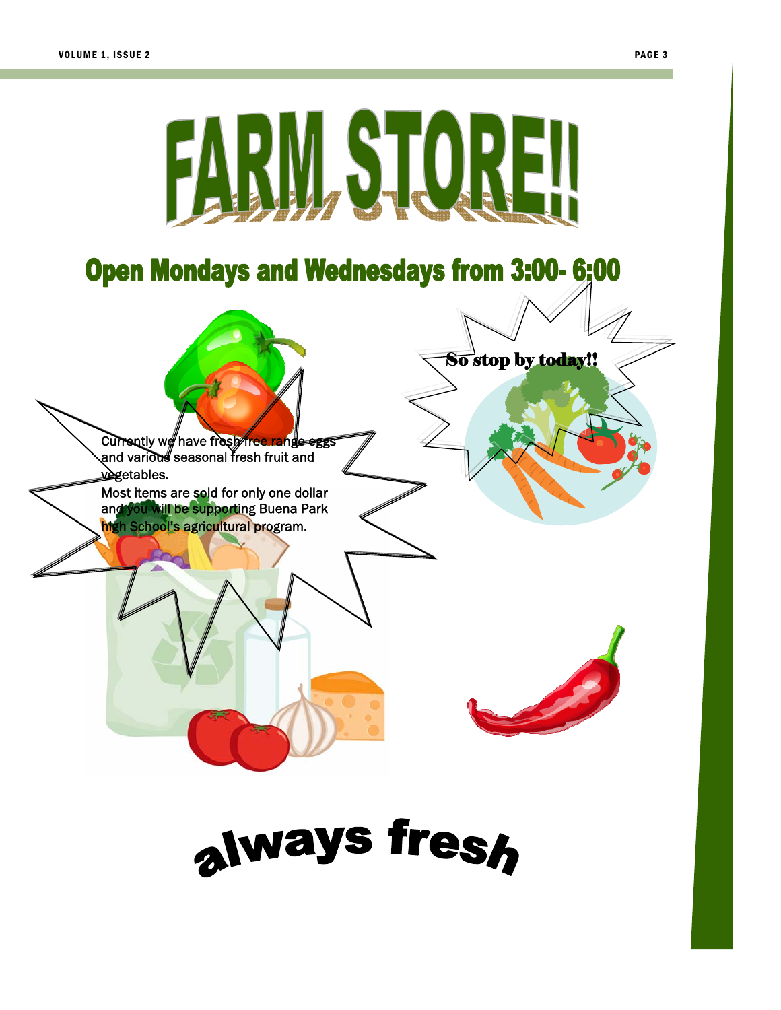

always fresh